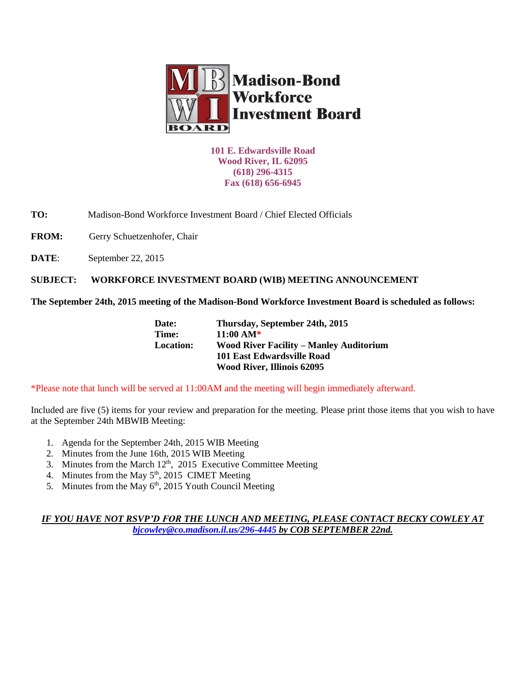

**101 E. Edwardsville Road Wood River, IL 62095 (618) 296-4315 Fax (618) 656-6945**

**TO:** Madison-Bond Workforce Investment Board / Chief Elected Officials

FROM: Gerry Schuetzenhofer, Chair

**DATE:** September 22, 2015

**SUBJECT: WORKFORCE INVESTMENT BOARD (WIB) MEETING ANNOUNCEMENT** 

**The September 24th, 2015 meeting of the Madison-Bond Workforce Investment Board is scheduled as follows:**

| Date:            | Thursday, September 24th, 2015                 |
|------------------|------------------------------------------------|
| Time:            | $11:00 \text{ AM*}$                            |
| <b>Location:</b> | <b>Wood River Facility – Manley Auditorium</b> |
|                  | 101 East Edwardsville Road                     |
|                  | <b>Wood River, Illinois 62095</b>              |

\*Please note that lunch will be served at 11:00AM and the meeting will begin immediately afterward.

Included are five (5) items for your review and preparation for the meeting. Please print those items that you wish to have at the September 24th MBWIB Meeting:

- 1. Agenda for the September 24th, 2015 WIB Meeting
- 2. Minutes from the June 16th, 2015 WIB Meeting
- 3. Minutes from the March 12<sup>th</sup>, 2015 Executive Committee Meeting
- 4. Minutes from the May  $5<sup>th</sup>$ , 2015 CIMET Meeting
- 5. Minutes from the May  $6<sup>th</sup>$ , 2015 Youth Council Meeting

## *IF YOU HAVE NOT RSVP'D FOR THE LUNCH AND MEETING, PLEASE CONTACT BECKY COWLEY AT [bjcowley@co.madison.il.us/](mailto:bjcowley@co.madison.il.us)296-4445 by COB SEPTEMBER 22nd.*